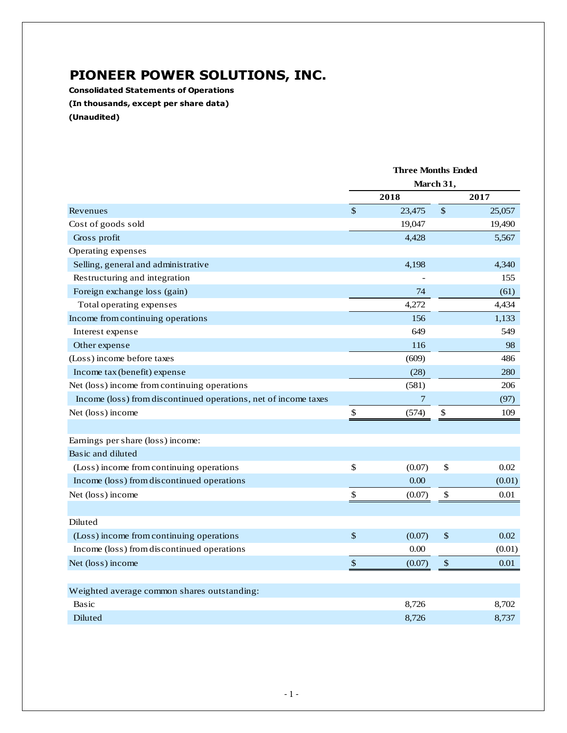## **PIONEER POWER SOLUTIONS, INC.**

**Consolidated Statements of Operations (In thousands, except per share data) (Unaudited)**

|                                                                 | <b>Three Months Ended</b><br>March 31, |                |      |        |
|-----------------------------------------------------------------|----------------------------------------|----------------|------|--------|
|                                                                 |                                        |                |      |        |
|                                                                 |                                        | 2018           |      | 2017   |
| Revenues                                                        | $\boldsymbol{\mathsf{S}}$              | 23,475         | $\$$ | 25,057 |
| Cost of goods sold                                              |                                        | 19,047         |      | 19,490 |
| Gross profit                                                    |                                        | 4,428          |      | 5,567  |
| Operating expenses                                              |                                        |                |      |        |
| Selling, general and administrative                             |                                        | 4,198          |      | 4,340  |
| Restructuring and integration                                   |                                        |                |      | 155    |
| Foreign exchange loss (gain)                                    |                                        | 74             |      | (61)   |
| Total operating expenses                                        |                                        | 4,272          |      | 4,434  |
| Income from continuing operations                               |                                        | 156            |      | 1,133  |
| Interest expense                                                |                                        | 649            |      | 549    |
| Other expense                                                   |                                        | 116            |      | 98     |
| (Loss) income before taxes                                      |                                        | (609)          |      | 486    |
| Income tax (benefit) expense                                    |                                        | (28)           |      | 280    |
| Net (loss) income from continuing operations                    |                                        | (581)          |      | 206    |
| Income (loss) from discontinued operations, net of income taxes |                                        | $\overline{7}$ |      | (97)   |
| Net (loss) income                                               | $\boldsymbol{\mathsf{S}}$              | (574)          | \$   | 109    |
|                                                                 |                                        |                |      |        |
| Earnings per share (loss) income:                               |                                        |                |      |        |
| Basic and diluted                                               |                                        |                |      |        |
| (Loss) income from continuing operations                        | \$                                     | (0.07)         | \$   | 0.02   |
| Income (loss) from discontinued operations                      |                                        | 0.00           |      | (0.01) |
| Net (loss) income                                               | \$                                     | (0.07)         | \$   | 0.01   |
|                                                                 |                                        |                |      |        |
| Diluted                                                         |                                        |                |      |        |
| (Loss) income from continuing operations                        | $\mathcal{S}$                          | (0.07)         | \$   | 0.02   |
| Income (loss) from discontinued operations                      |                                        | 0.00           |      | (0.01) |
| Net (loss) income                                               | $\boldsymbol{\mathsf{S}}$              | (0.07)         | \$   | 0.01   |
|                                                                 |                                        |                |      |        |
| Weighted average common shares outstanding:                     |                                        |                |      |        |
| <b>Basic</b>                                                    |                                        | 8,726          |      | 8,702  |
| Diluted                                                         |                                        | 8,726          |      | 8,737  |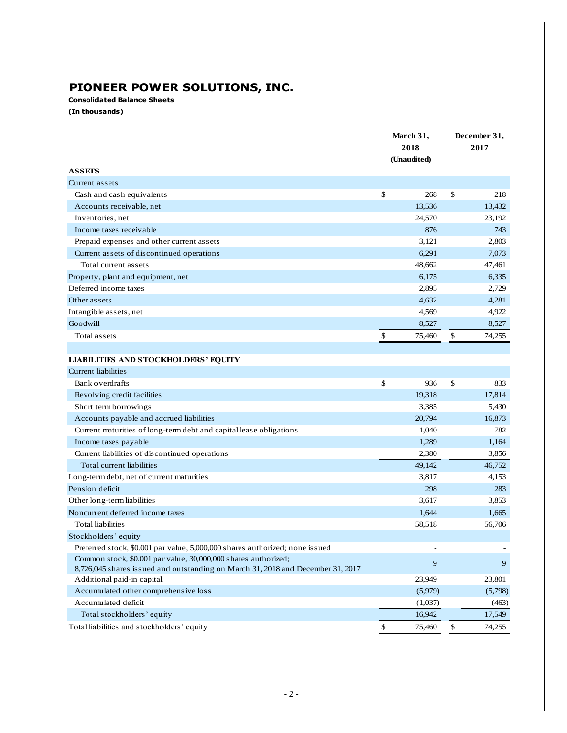## **PIONEER POWER SOLUTIONS, INC.**

**Consolidated Balance Sheets**

**(In thousands)**

|                                                                                                                                                   | March 31,<br>2018 |             |      | December 31, |  |
|---------------------------------------------------------------------------------------------------------------------------------------------------|-------------------|-------------|------|--------------|--|
|                                                                                                                                                   |                   |             | 2017 |              |  |
|                                                                                                                                                   |                   | (Unaudited) |      |              |  |
| <b>ASSETS</b>                                                                                                                                     |                   |             |      |              |  |
| Current assets                                                                                                                                    |                   |             |      |              |  |
| Cash and cash equivalents                                                                                                                         | \$                | 268         | \$   | 218          |  |
| Accounts receivable, net                                                                                                                          |                   | 13,536      |      | 13,432       |  |
| Inventories, net                                                                                                                                  |                   | 24,570      |      | 23,192       |  |
| Income taxes receivable                                                                                                                           |                   | 876         |      | 743          |  |
| Prepaid expenses and other current assets                                                                                                         |                   | 3,121       |      | 2,803        |  |
| Current assets of discontinued operations                                                                                                         |                   | 6,291       |      | 7,073        |  |
| Total current assets                                                                                                                              |                   | 48.662      |      | 47,461       |  |
| Property, plant and equipment, net                                                                                                                |                   | 6,175       |      | 6,335        |  |
| Deferred income taxes                                                                                                                             |                   | 2,895       |      | 2,729        |  |
| Other assets                                                                                                                                      |                   | 4,632       |      | 4,281        |  |
| Intangible assets, net                                                                                                                            |                   | 4,569       |      | 4,922        |  |
| Goodwill                                                                                                                                          |                   | 8,527       |      | 8,527        |  |
| Total assets                                                                                                                                      | \$                | 75,460      | \$   | 74,255       |  |
|                                                                                                                                                   |                   |             |      |              |  |
| <b>LIABILITIES AND STOCKHOLDERS' EQUITY</b>                                                                                                       |                   |             |      |              |  |
| Current liabilities                                                                                                                               |                   |             |      |              |  |
| Bank overdrafts                                                                                                                                   | \$                | 936         | \$   | 833          |  |
| Revolving credit facilities                                                                                                                       |                   | 19,318      |      | 17,814       |  |
| Short term borrowings                                                                                                                             |                   | 3,385       |      | 5,430        |  |
| Accounts payable and accrued liabilities                                                                                                          |                   | 20,794      |      | 16,873       |  |
| Current maturities of long-term debt and capital lease obligations                                                                                |                   | 1,040       |      | 782          |  |
| Income taxes payable                                                                                                                              |                   | 1,289       |      | 1,164        |  |
| Current liabilities of discontinued operations                                                                                                    |                   | 2,380       |      | 3,856        |  |
| Total current liabilities                                                                                                                         |                   | 49,142      |      | 46,752       |  |
| Long-term debt, net of current maturities                                                                                                         |                   | 3,817       |      | 4,153        |  |
| Pension deficit                                                                                                                                   |                   | 298         |      | 283          |  |
| Other long-term liabilities                                                                                                                       |                   | 3,617       |      | 3,853        |  |
| Noncurrent deferred income taxes                                                                                                                  |                   | 1,644       |      | 1,665        |  |
| <b>Total liabilities</b>                                                                                                                          |                   | 58,518      |      | 56,706       |  |
| Stockholders' equity                                                                                                                              |                   |             |      |              |  |
| Preferred stock, \$0.001 par value, 5,000,000 shares authorized; none issued                                                                      |                   |             |      |              |  |
| Common stock, \$0.001 par value, 30,000,000 shares authorized;<br>8,726,045 shares issued and outstanding on March 31, 2018 and December 31, 2017 |                   | 9           |      | 9            |  |
| Additional paid-in capital                                                                                                                        |                   | 23,949      |      | 23,801       |  |
| Accumulated other comprehensive loss                                                                                                              |                   | (5,979)     |      | (5,798)      |  |
| Accumulated deficit                                                                                                                               |                   | (1,037)     |      | (463)        |  |
| Total stockholders' equity                                                                                                                        |                   | 16,942      |      | 17,549       |  |
| Total liabilities and stockholders' equity                                                                                                        | \$                | 75,460      | \$   | 74,255       |  |
|                                                                                                                                                   |                   |             |      |              |  |